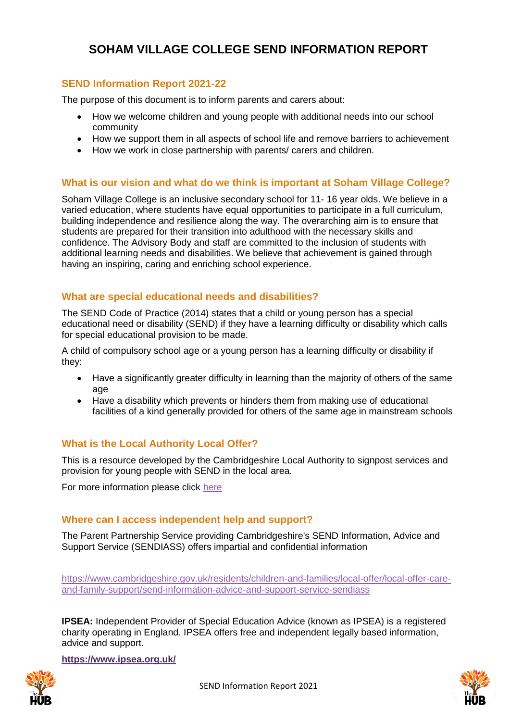# **SOHAM VILLAGE COLLEGE SEND INFORMATION REPORT**

## **SEND Information Report 2021-22**

The purpose of this document is to inform parents and carers about:

- How we welcome children and young people with additional needs into our school community
- How we support them in all aspects of school life and remove barriers to achievement
- How we work in close partnership with parents/ carers and children.

### **What is our vision and what do we think is important at Soham Village College?**

Soham Village College is an inclusive secondary school for 11- 16 year olds. We believe in a varied education, where students have equal opportunities to participate in a full curriculum, building independence and resilience along the way. The overarching aim is to ensure that students are prepared for their transition into adulthood with the necessary skills and confidence. The Advisory Body and staff are committed to the inclusion of students with additional learning needs and disabilities. We believe that achievement is gained through having an inspiring, caring and enriching school experience.

### **What are special educational needs and disabilities?**

The SEND Code of Practice (2014) states that a child or young person has a special educational need or disability (SEND) if they have a learning difficulty or disability which calls for special educational provision to be made.

A child of compulsory school age or a young person has a learning difficulty or disability if they:

- Have a significantly greater difficulty in learning than the majority of others of the same age
- Have a disability which prevents or hinders them from making use of educational facilities of a kind generally provided for others of the same age in mainstream schools

### **What is the Local Authority Local Offer?**

This is a resource developed by the Cambridgeshire Local Authority to signpost services and provision for young people with SEND in the local area.

For more information please click [here](https://www.cambridgeshire.gov.uk/residents/children-and-families/local-offer/about-cambridgeshire-s-local-offer)

### **Where can I access independent help and support?**

The Parent Partnership Service providing Cambridgeshire's SEND Information, Advice and Support Service (SENDIASS) offers impartial and confidential information

[https://www.cambridgeshire.gov.uk/residents/children-and-families/local-offer/local-offer-care](https://www.cambridgeshire.gov.uk/residents/children-and-families/local-offer/local-offer-care-and-family-support/send-information-advice-and-support-service-sendiass)[and-family-support/send-information-advice-and-support-service-sendiass](https://www.cambridgeshire.gov.uk/residents/children-and-families/local-offer/local-offer-care-and-family-support/send-information-advice-and-support-service-sendiass)

**IPSEA:** Independent Provider of Special Education Advice (known as IPSEA) is a registered charity operating in England. IPSEA offers free and independent legally based information, advice and support.

**<https://www.ipsea.org.uk/>**



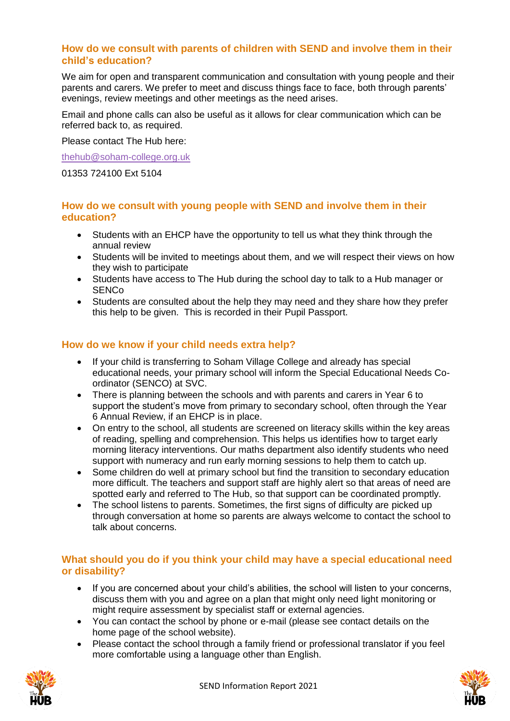## **How do we consult with parents of children with SEND and involve them in their child's education?**

We aim for open and transparent communication and consultation with young people and their parents and carers. We prefer to meet and discuss things face to face, both through parents' evenings, review meetings and other meetings as the need arises.

Email and phone calls can also be useful as it allows for clear communication which can be referred back to, as required.

Please contact The Hub here:

[thehub@soham-college.org.uk](mailto:thehub@soham-college.org.uk)

01353 724100 Ext 5104

### **How do we consult with young people with SEND and involve them in their education?**

- Students with an EHCP have the opportunity to tell us what they think through the annual review
- Students will be invited to meetings about them, and we will respect their views on how they wish to participate
- Students have access to The Hub during the school day to talk to a Hub manager or **SENCo**
- Students are consulted about the help they may need and they share how they prefer this help to be given. This is recorded in their Pupil Passport.

### **How do we know if your child needs extra help?**

- If your child is transferring to Soham Village College and already has special educational needs, your primary school will inform the Special Educational Needs Coordinator (SENCO) at SVC.
- There is planning between the schools and with parents and carers in Year 6 to support the student's move from primary to secondary school, often through the Year 6 Annual Review, if an EHCP is in place.
- On entry to the school, all students are screened on literacy skills within the key areas of reading, spelling and comprehension. This helps us identifies how to target early morning literacy interventions. Our maths department also identify students who need support with numeracy and run early morning sessions to help them to catch up.
- Some children do well at primary school but find the transition to secondary education more difficult. The teachers and support staff are highly alert so that areas of need are spotted early and referred to The Hub, so that support can be coordinated promptly.
- The school listens to parents. Sometimes, the first signs of difficulty are picked up through conversation at home so parents are always welcome to contact the school to talk about concerns.

## **What should you do if you think your child may have a special educational need or disability?**

- If you are concerned about your child's abilities, the school will listen to your concerns, discuss them with you and agree on a plan that might only need light monitoring or might require assessment by specialist staff or external agencies.
- You can contact the school by phone or e-mail (please see contact details on the home page of the school website).
- Please contact the school through a family friend or professional translator if you feel more comfortable using a language other than English.



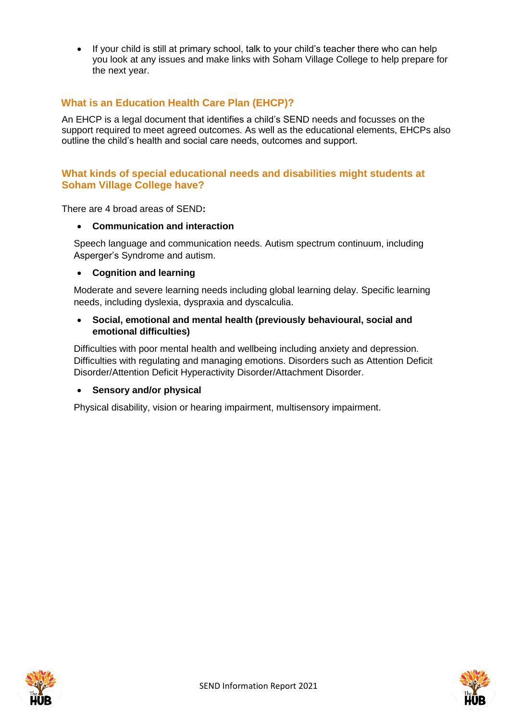• If your child is still at primary school, talk to your child's teacher there who can help you look at any issues and make links with Soham Village College to help prepare for the next year.

## **What is an Education Health Care Plan (EHCP)?**

An EHCP is a legal document that identifies a child's SEND needs and focusses on the support required to meet agreed outcomes. As well as the educational elements, EHCPs also outline the child's health and social care needs, outcomes and support.

### **What kinds of special educational needs and disabilities might students at Soham Village College have?**

There are 4 broad areas of SEND**:** 

#### • **Communication and interaction**

Speech language and communication needs. Autism spectrum continuum, including Asperger's Syndrome and autism.

#### • **Cognition and learning**

Moderate and severe learning needs including global learning delay. Specific learning needs, including dyslexia, dyspraxia and dyscalculia.

### • **Social, emotional and mental health (previously behavioural, social and emotional difficulties)**

Difficulties with poor mental health and wellbeing including anxiety and depression. Difficulties with regulating and managing emotions. Disorders such as Attention Deficit Disorder/Attention Deficit Hyperactivity Disorder/Attachment Disorder.

#### • **Sensory and/or physical**

Physical disability, vision or hearing impairment, multisensory impairment.



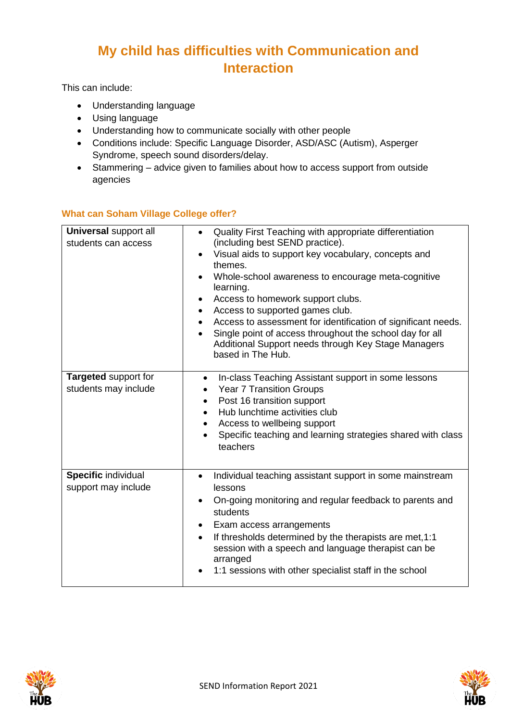# **My child has difficulties with Communication and Interaction**

This can include:

- Understanding language
- Using language
- Understanding how to communicate socially with other people
- Conditions include: Specific Language Disorder, ASD/ASC (Autism), Asperger Syndrome, speech sound disorders/delay.
- Stammering advice given to families about how to access support from outside agencies

| <b>Universal support all</b><br>students can access | Quality First Teaching with appropriate differentiation<br>(including best SEND practice).<br>Visual aids to support key vocabulary, concepts and<br>$\bullet$<br>themes.<br>Whole-school awareness to encourage meta-cognitive<br>learning.<br>Access to homework support clubs.<br>$\bullet$<br>Access to supported games club.<br>$\bullet$<br>Access to assessment for identification of significant needs.<br>Single point of access throughout the school day for all<br>Additional Support needs through Key Stage Managers<br>based in The Hub. |
|-----------------------------------------------------|---------------------------------------------------------------------------------------------------------------------------------------------------------------------------------------------------------------------------------------------------------------------------------------------------------------------------------------------------------------------------------------------------------------------------------------------------------------------------------------------------------------------------------------------------------|
| Targeted support for<br>students may include        | In-class Teaching Assistant support in some lessons<br>$\bullet$<br><b>Year 7 Transition Groups</b><br>$\bullet$<br>Post 16 transition support<br>٠<br>Hub lunchtime activities club<br>$\bullet$<br>Access to wellbeing support<br>Specific teaching and learning strategies shared with class<br>$\bullet$<br>teachers                                                                                                                                                                                                                                |
| Specific individual<br>support may include          | Individual teaching assistant support in some mainstream<br>$\bullet$<br>lessons<br>On-going monitoring and regular feedback to parents and<br>$\bullet$<br>students<br>Exam access arrangements<br>$\bullet$<br>If thresholds determined by the therapists are met, 1:1<br>$\bullet$<br>session with a speech and language therapist can be<br>arranged<br>1:1 sessions with other specialist staff in the school                                                                                                                                      |

### **What can Soham Village College offer?**



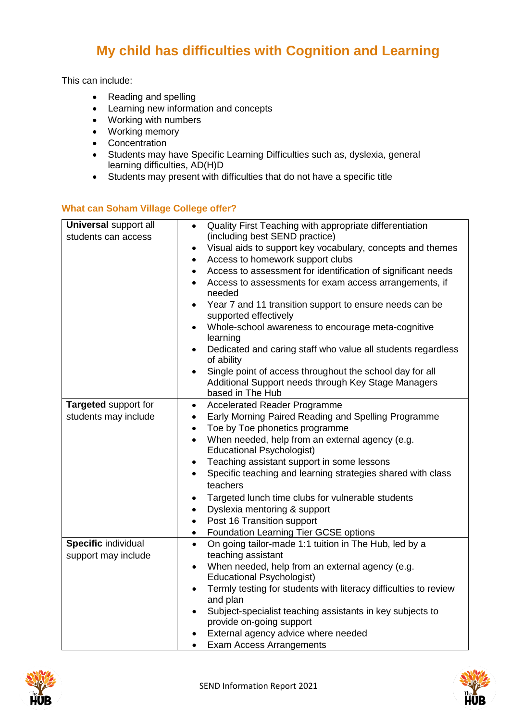# **My child has difficulties with Cognition and Learning**

This can include:

- Reading and spelling
- Learning new information and concepts
- Working with numbers
- Working memory
- Concentration
- Students may have Specific Learning Difficulties such as, dyslexia, general learning difficulties, AD(H)D
- Students may present with difficulties that do not have a specific title

| <b>Universal support all</b><br>students can access | Quality First Teaching with appropriate differentiation<br>$\bullet$<br>(including best SEND practice)<br>Visual aids to support key vocabulary, concepts and themes<br>$\bullet$<br>Access to homework support clubs<br>$\bullet$<br>Access to assessment for identification of significant needs<br>$\bullet$<br>Access to assessments for exam access arrangements, if<br>$\bullet$<br>needed<br>Year 7 and 11 transition support to ensure needs can be<br>$\bullet$<br>supported effectively<br>Whole-school awareness to encourage meta-cognitive<br>$\bullet$<br>learning<br>Dedicated and caring staff who value all students regardless<br>$\bullet$<br>of ability<br>Single point of access throughout the school day for all<br>Additional Support needs through Key Stage Managers<br>based in The Hub |
|-----------------------------------------------------|--------------------------------------------------------------------------------------------------------------------------------------------------------------------------------------------------------------------------------------------------------------------------------------------------------------------------------------------------------------------------------------------------------------------------------------------------------------------------------------------------------------------------------------------------------------------------------------------------------------------------------------------------------------------------------------------------------------------------------------------------------------------------------------------------------------------|
|                                                     |                                                                                                                                                                                                                                                                                                                                                                                                                                                                                                                                                                                                                                                                                                                                                                                                                    |
| Targeted support for                                | <b>Accelerated Reader Programme</b><br>$\bullet$                                                                                                                                                                                                                                                                                                                                                                                                                                                                                                                                                                                                                                                                                                                                                                   |
| students may include                                | Early Morning Paired Reading and Spelling Programme<br>$\bullet$                                                                                                                                                                                                                                                                                                                                                                                                                                                                                                                                                                                                                                                                                                                                                   |
|                                                     | Toe by Toe phonetics programme<br>$\bullet$                                                                                                                                                                                                                                                                                                                                                                                                                                                                                                                                                                                                                                                                                                                                                                        |
|                                                     | When needed, help from an external agency (e.g.<br>$\bullet$                                                                                                                                                                                                                                                                                                                                                                                                                                                                                                                                                                                                                                                                                                                                                       |
|                                                     | <b>Educational Psychologist)</b>                                                                                                                                                                                                                                                                                                                                                                                                                                                                                                                                                                                                                                                                                                                                                                                   |
|                                                     | Teaching assistant support in some lessons<br>$\bullet$                                                                                                                                                                                                                                                                                                                                                                                                                                                                                                                                                                                                                                                                                                                                                            |
|                                                     | Specific teaching and learning strategies shared with class<br>$\bullet$                                                                                                                                                                                                                                                                                                                                                                                                                                                                                                                                                                                                                                                                                                                                           |
|                                                     | teachers                                                                                                                                                                                                                                                                                                                                                                                                                                                                                                                                                                                                                                                                                                                                                                                                           |
|                                                     | Targeted lunch time clubs for vulnerable students<br>٠                                                                                                                                                                                                                                                                                                                                                                                                                                                                                                                                                                                                                                                                                                                                                             |
|                                                     | Dyslexia mentoring & support<br>$\bullet$                                                                                                                                                                                                                                                                                                                                                                                                                                                                                                                                                                                                                                                                                                                                                                          |
|                                                     | Post 16 Transition support<br>$\bullet$                                                                                                                                                                                                                                                                                                                                                                                                                                                                                                                                                                                                                                                                                                                                                                            |
|                                                     | Foundation Learning Tier GCSE options<br>$\bullet$                                                                                                                                                                                                                                                                                                                                                                                                                                                                                                                                                                                                                                                                                                                                                                 |
| Specific individual                                 | On going tailor-made 1:1 tuition in The Hub, led by a<br>$\bullet$                                                                                                                                                                                                                                                                                                                                                                                                                                                                                                                                                                                                                                                                                                                                                 |
| support may include                                 | teaching assistant                                                                                                                                                                                                                                                                                                                                                                                                                                                                                                                                                                                                                                                                                                                                                                                                 |
|                                                     | When needed, help from an external agency (e.g.<br>$\bullet$                                                                                                                                                                                                                                                                                                                                                                                                                                                                                                                                                                                                                                                                                                                                                       |
|                                                     | <b>Educational Psychologist)</b>                                                                                                                                                                                                                                                                                                                                                                                                                                                                                                                                                                                                                                                                                                                                                                                   |
|                                                     | Termly testing for students with literacy difficulties to review<br>$\bullet$                                                                                                                                                                                                                                                                                                                                                                                                                                                                                                                                                                                                                                                                                                                                      |
|                                                     | and plan                                                                                                                                                                                                                                                                                                                                                                                                                                                                                                                                                                                                                                                                                                                                                                                                           |
|                                                     | Subject-specialist teaching assistants in key subjects to<br>$\bullet$                                                                                                                                                                                                                                                                                                                                                                                                                                                                                                                                                                                                                                                                                                                                             |
|                                                     | provide on-going support                                                                                                                                                                                                                                                                                                                                                                                                                                                                                                                                                                                                                                                                                                                                                                                           |
|                                                     | External agency advice where needed                                                                                                                                                                                                                                                                                                                                                                                                                                                                                                                                                                                                                                                                                                                                                                                |
|                                                     | <b>Exam Access Arrangements</b>                                                                                                                                                                                                                                                                                                                                                                                                                                                                                                                                                                                                                                                                                                                                                                                    |

## **What can Soham Village College offer?**



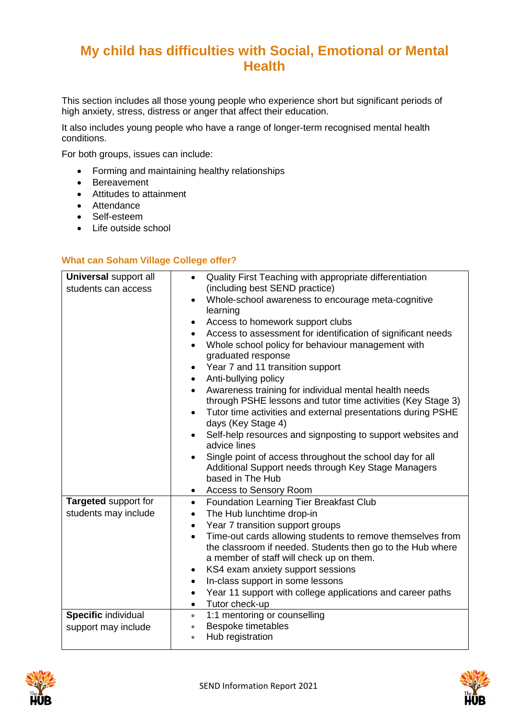# **My child has difficulties with Social, Emotional or Mental Health**

This section includes all those young people who experience short but significant periods of high anxiety, stress, distress or anger that affect their education.

It also includes young people who have a range of longer-term recognised mental health conditions.

For both groups, issues can include:

- Forming and maintaining healthy relationships
- Bereavement
- Attitudes to attainment
- Attendance
- Self-esteem
- Life outside school

### **What can Soham Village College offer?**

| <b>Universal support all</b> | Quality First Teaching with appropriate differentiation<br>$\bullet$        |
|------------------------------|-----------------------------------------------------------------------------|
| students can access          | (including best SEND practice)                                              |
|                              | Whole-school awareness to encourage meta-cognitive<br>$\bullet$<br>learning |
|                              | Access to homework support clubs<br>$\bullet$                               |
|                              | Access to assessment for identification of significant needs<br>$\bullet$   |
|                              | Whole school policy for behaviour management with<br>$\bullet$              |
|                              | graduated response                                                          |
|                              | Year 7 and 11 transition support<br>$\bullet$                               |
|                              | Anti-bullying policy<br>$\bullet$                                           |
|                              | Awareness training for individual mental health needs<br>$\bullet$          |
|                              | through PSHE lessons and tutor time activities (Key Stage 3)                |
|                              | Tutor time activities and external presentations during PSHE<br>$\bullet$   |
|                              | days (Key Stage 4)                                                          |
|                              | Self-help resources and signposting to support websites and<br>$\bullet$    |
|                              | advice lines                                                                |
|                              | Single point of access throughout the school day for all                    |
|                              | Additional Support needs through Key Stage Managers<br>based in The Hub     |
|                              |                                                                             |
|                              | Access to Sensory Room<br>$\bullet$                                         |
| Targeted support for         | <b>Foundation Learning Tier Breakfast Club</b><br>$\bullet$                 |
| students may include         | The Hub lunchtime drop-in<br>$\bullet$                                      |
|                              | Year 7 transition support groups<br>$\bullet$                               |
|                              | Time-out cards allowing students to remove themselves from<br>$\bullet$     |
|                              | the classroom if needed. Students then go to the Hub where                  |
|                              | a member of staff will check up on them.                                    |
|                              | KS4 exam anxiety support sessions<br>$\bullet$                              |
|                              | In-class support in some lessons<br>$\bullet$                               |
|                              | Year 11 support with college applications and career paths<br>$\bullet$     |
|                              | Tutor check-up<br>$\bullet$                                                 |
| Specific individual          | 1:1 mentoring or counselling<br>$\bullet$                                   |
| support may include          | <b>Bespoke timetables</b><br>$\bullet$                                      |
|                              | Hub registration<br>$\bullet$                                               |





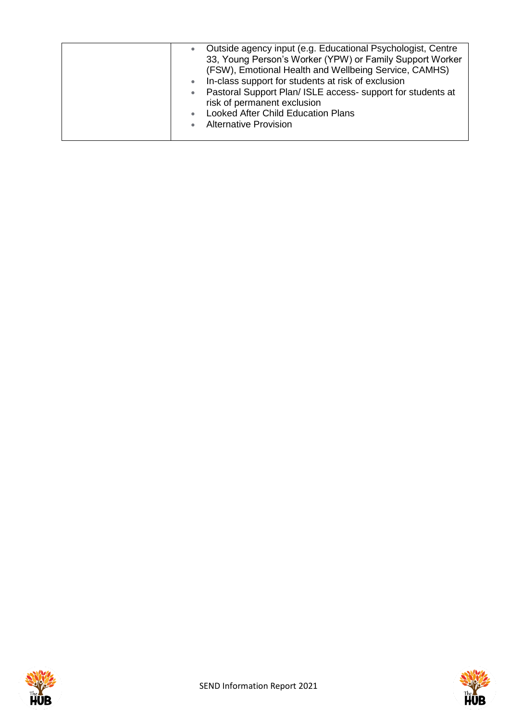|  | Outside agency input (e.g. Educational Psychologist, Centre<br>33, Young Person's Worker (YPW) or Family Support Worker<br>(FSW), Emotional Health and Wellbeing Service, CAMHS)<br>In-class support for students at risk of exclusion<br>Pastoral Support Plan/ ISLE access- support for students at<br>risk of permanent exclusion<br><b>Looked After Child Education Plans</b><br><b>Alternative Provision</b> |
|--|-------------------------------------------------------------------------------------------------------------------------------------------------------------------------------------------------------------------------------------------------------------------------------------------------------------------------------------------------------------------------------------------------------------------|
|--|-------------------------------------------------------------------------------------------------------------------------------------------------------------------------------------------------------------------------------------------------------------------------------------------------------------------------------------------------------------------------------------------------------------------|



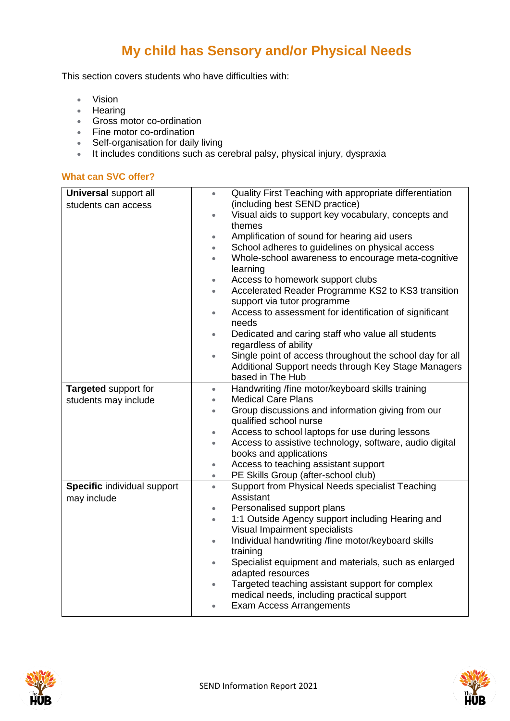# **My child has Sensory and/or Physical Needs**

This section covers students who have difficulties with:

- Vision
- Hearing
- Gross motor co-ordination
- Fine motor co-ordination
- Self-organisation for daily living
- It includes conditions such as cerebral palsy, physical injury, dyspraxia

#### **What can SVC offer?**

| <b>Universal support all</b> | Quality First Teaching with appropriate differentiation<br>$\bullet$                           |
|------------------------------|------------------------------------------------------------------------------------------------|
| students can access          | (including best SEND practice)                                                                 |
|                              | Visual aids to support key vocabulary, concepts and<br>$\bullet$                               |
|                              | themes                                                                                         |
|                              | Amplification of sound for hearing aid users<br>$\bullet$                                      |
|                              | School adheres to guidelines on physical access<br>$\bullet$                                   |
|                              | Whole-school awareness to encourage meta-cognitive<br>$\bullet$                                |
|                              | learning                                                                                       |
|                              | Access to homework support clubs<br>$\bullet$                                                  |
|                              | Accelerated Reader Programme KS2 to KS3 transition<br>$\bullet$                                |
|                              | support via tutor programme                                                                    |
|                              | Access to assessment for identification of significant<br>$\bullet$                            |
|                              | needs                                                                                          |
|                              | Dedicated and caring staff who value all students<br>$\bullet$                                 |
|                              | regardless of ability                                                                          |
|                              | Single point of access throughout the school day for all<br>$\bullet$                          |
|                              | Additional Support needs through Key Stage Managers                                            |
|                              | based in The Hub                                                                               |
| Targeted support for         | Handwriting /fine motor/keyboard skills training<br>$\bullet$                                  |
| students may include         | <b>Medical Care Plans</b><br>$\bullet$                                                         |
|                              | Group discussions and information giving from our<br>$\bullet$                                 |
|                              | qualified school nurse                                                                         |
|                              | Access to school laptops for use during lessons<br>$\bullet$                                   |
|                              | Access to assistive technology, software, audio digital<br>$\bullet$                           |
|                              | books and applications                                                                         |
|                              | Access to teaching assistant support<br>$\bullet$                                              |
|                              | PE Skills Group (after-school club)<br>$\bullet$                                               |
| Specific individual support  | Support from Physical Needs specialist Teaching<br>$\bullet$                                   |
| may include                  | Assistant                                                                                      |
|                              | Personalised support plans<br>$\bullet$                                                        |
|                              | 1:1 Outside Agency support including Hearing and<br>$\bullet$<br>Visual Impairment specialists |
|                              | Individual handwriting /fine motor/keyboard skills                                             |
|                              | $\bullet$<br>training                                                                          |
|                              | Specialist equipment and materials, such as enlarged<br>$\bullet$                              |
|                              | adapted resources                                                                              |
|                              | Targeted teaching assistant support for complex<br>$\bullet$                                   |
|                              | medical needs, including practical support                                                     |
|                              | <b>Exam Access Arrangements</b><br>$\bullet$                                                   |
|                              |                                                                                                |



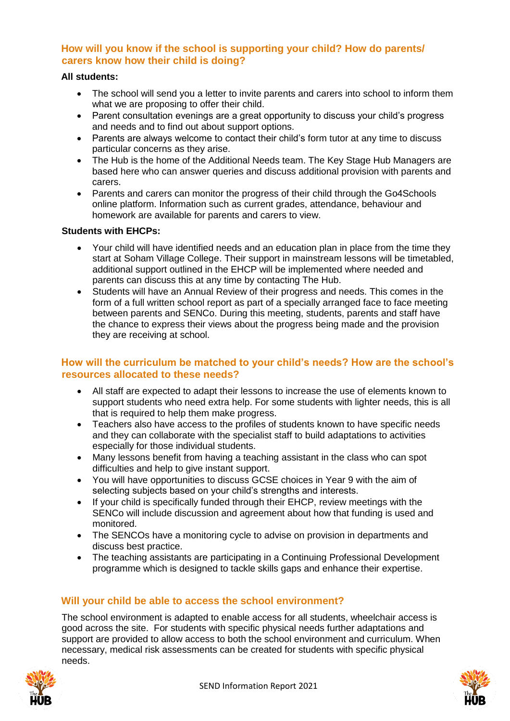## **[How will you know if the school is supporting your child? How do parents/](http://sen.lampton.org.uk/parents-f-a-q/) [carers know how their child is doing?](http://sen.lampton.org.uk/parents-f-a-q/)**

### **All students:**

- The school will send you a letter to invite parents and carers into school to inform them what we are proposing to offer their child.
- Parent consultation evenings are a great opportunity to discuss your child's progress and needs and to find out about support options.
- Parents are always welcome to contact their child's form tutor at any time to discuss particular concerns as they arise.
- The Hub is the home of the Additional Needs team. The Key Stage Hub Managers are based here who can answer queries and discuss additional provision with parents and carers.
- Parents and carers can monitor the progress of their child through the Go4Schools online platform. Information such as current grades, attendance, behaviour and homework are available for parents and carers to view.

### **Students with EHCPs:**

- Your child will have identified needs and an education plan in place from the time they start at Soham Village College. Their support in mainstream lessons will be timetabled, additional support outlined in the EHCP will be implemented where needed and parents can discuss this at any time by contacting The Hub.
- Students will have an Annual Review of their progress and needs. This comes in the form of a full written school report as part of a specially arranged face to face meeting between parents and SENCo. During this meeting, students, parents and staff have the chance to express their views about the progress being made and the provision they are receiving at school.

## **[How will the curriculum be matched to your child's needs? How are the school's](http://sen.lampton.org.uk/parents-f-a-q/)  [resources allocated to these needs?](http://sen.lampton.org.uk/parents-f-a-q/)**

- All staff are expected to adapt their lessons to increase the use of elements known to support students who need extra help. For some students with lighter needs, this is all that is required to help them make progress.
- Teachers also have access to the profiles of students known to have specific needs and they can collaborate with the specialist staff to build adaptations to activities especially for those individual students.
- Many lessons benefit from having a teaching assistant in the class who can spot difficulties and help to give instant support.
- You will have opportunities to discuss GCSE choices in Year 9 with the aim of selecting subjects based on your child's strengths and interests.
- If your child is specifically funded through their EHCP, review meetings with the SENCo will include discussion and agreement about how that funding is used and monitored.
- The SENCOs have a monitoring cycle to advise on provision in departments and discuss best practice.
- The teaching assistants are participating in a Continuing Professional Development programme which is designed to tackle skills gaps and enhance their expertise.

### **Will your child be able to access the school environment?**

The school environment is adapted to enable access for all students, wheelchair access is good across the site. For students with specific physical needs further adaptations and support are provided to allow access to both the school environment and curriculum. When necessary, medical risk assessments can be created for students with specific physical needs.



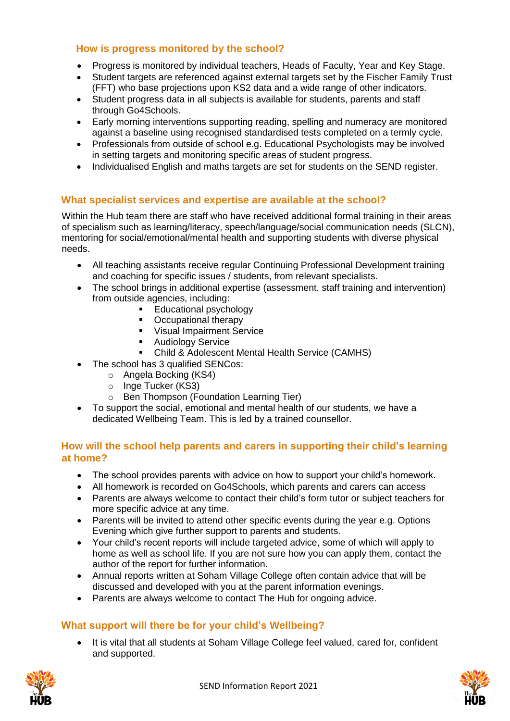## **How is progress monitored by the school?**

- Progress is monitored by individual teachers, Heads of Faculty, Year and Key Stage.
- Student targets are referenced against external targets set by the Fischer Family Trust (FFT) who base projections upon KS2 data and a wide range of other indicators.
- Student progress data in all subjects is available for students, parents and staff through Go4Schools.
- Early morning interventions supporting reading, spelling and numeracy are monitored against a baseline using recognised standardised tests completed on a termly cycle.
- Professionals from outside of school e.g. Educational Psychologists may be involved in setting targets and monitoring specific areas of student progress.
- Individualised English and maths targets are set for students on the SEND register.

## **What specialist services and expertise are available at the school[?](http://sen.lampton.org.uk/parents-f-a-q/)**

Within the Hub team there are staff who have received additional formal training in their areas of specialism such as learning/literacy, speech/language/social communication needs (SLCN), mentoring for social/emotional/mental health and supporting students with diverse physical needs.

- All teaching assistants receive regular Continuing Professional Development training and coaching for specific issues / students, from relevant specialists.
- The school brings in additional expertise (assessment, staff training and intervention) from outside agencies, including:
	- Educational psychology
	- Occupational therapy
	- Visual Impairment Service
	- **EXECUTE:** Audiology Service
	- Child & Adolescent Mental Health Service (CAMHS)
- The school has 3 qualified SENCos:
	- o Angela Bocking (KS4)
	- o Inge Tucker (KS3)
	- o Ben Thompson (Foundation Learning Tier)
- To support the social, emotional and mental health of our students, we have a dedicated Wellbeing Team. This is led by a trained counsellor.

### **How will the school help parents and carers in supporting their child's learning at home[?](http://sen.lampton.org.uk/parents-f-a-q/)**

- The school provides parents with advice on how to support your child's homework.
- All homework is recorded on Go4Schools, which parents and carers can access
- Parents are always welcome to contact their child's form tutor or subject teachers for more specific advice at any time.
- Parents will be invited to attend other specific events during the year e.g. Options Evening which give further support to parents and students.
- Your child's recent reports will include targeted advice, some of which will apply to home as well as school life. If you are not sure how you can apply them, contact the author of the report for further information.
- Annual reports written at Soham Village College often contain advice that will be discussed and developed with you at the parent information evenings.
- Parents are always welcome to contact The Hub for ongoing advice.

## **[What support will there be for your child's Wellb](http://sen.lampton.org.uk/parents-f-a-q/)eing[?](http://sen.lampton.org.uk/parents-f-a-q/)**

• It is vital that all students at Soham Village College feel valued, cared for, confident and supported.



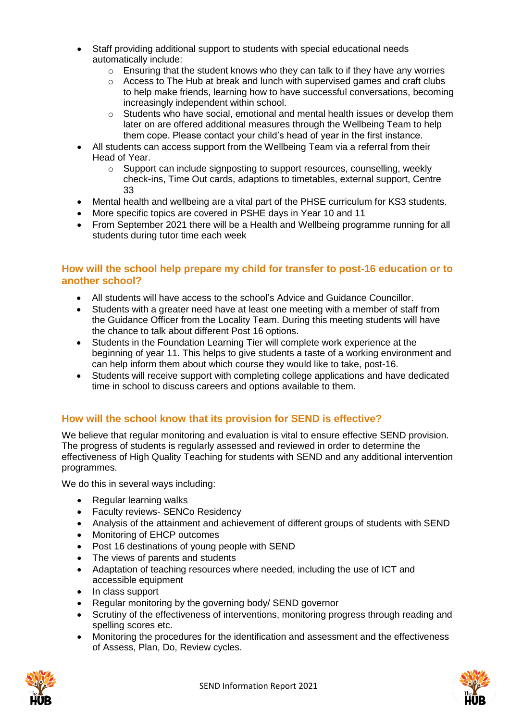- Staff providing additional support to students with special educational needs automatically include:
	- o Ensuring that the student knows who they can talk to if they have any worries
	- o Access to The Hub at break and lunch with supervised games and craft clubs to help make friends, learning how to have successful conversations, becoming increasingly independent within school.
	- $\circ$  Students who have social, emotional and mental health issues or develop them later on are offered additional measures through the Wellbeing Team to help them cope. Please contact your child's head of year in the first instance.
- All students can access support from the Wellbeing Team via a referral from their Head of Year.
	- o Support can include signposting to support resources, counselling, weekly check-ins, Time Out cards, adaptions to timetables, external support, Centre 33
- Mental health and wellbeing are a vital part of the PHSE curriculum for KS3 students.
- More specific topics are covered in PSHE days in Year 10 and 11
- From September 2021 there will be a Health and Wellbeing programme running for all students during tutor time each week

## **How will the school help prepare my child for transfer to pos[t-16 education or to](http://sen.lampton.org.uk/parents-f-a-q/)  [another school?](http://sen.lampton.org.uk/parents-f-a-q/)**

- All students will have access to the school's Advice and Guidance Councillor.
- Students with a greater need have at least one meeting with a member of staff from the Guidance Officer from the Locality Team. During this meeting students will have the chance to talk about different Post 16 options.
- Students in the Foundation Learning Tier will complete work experience at the beginning of year 11. This helps to give students a taste of a working environment and can help inform them about which course they would like to take, post-16.
- Students will receive support with completing college applications and have dedicated time in school to discuss careers and options available to them.

# **How will the school know that its provision for SEND is effective?**

We believe that regular monitoring and evaluation is vital to ensure effective SEND provision. The progress of students is regularly assessed and reviewed in order to determine the effectiveness of High Quality Teaching for students with SEND and any additional intervention programmes.

We do this in several ways including:

- Regular learning walks
- Faculty reviews- SENCo Residency
- Analysis of the attainment and achievement of different groups of students with SEND
- Monitoring of EHCP outcomes
- Post 16 destinations of young people with SEND
- The views of parents and students
- Adaptation of teaching resources where needed, including the use of ICT and accessible equipment
- In class support
- Regular monitoring by the governing body/ SEND governor
- Scrutiny of the effectiveness of interventions, monitoring progress through reading and spelling scores etc.
- Monitoring the procedures for the identification and assessment and the effectiveness of Assess, Plan, Do, Review cycles.